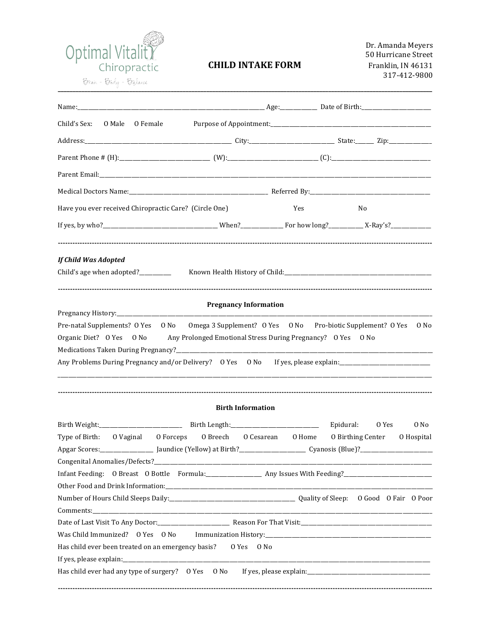

## **CHILD INTAKE FORM**

Dr. Amanda Meyers 50 Hurricane Street Franklin, IN 46131 317-412-9800

| No                                                                                                                                                                                                                                                                                                                                         |
|--------------------------------------------------------------------------------------------------------------------------------------------------------------------------------------------------------------------------------------------------------------------------------------------------------------------------------------------|
|                                                                                                                                                                                                                                                                                                                                            |
|                                                                                                                                                                                                                                                                                                                                            |
|                                                                                                                                                                                                                                                                                                                                            |
|                                                                                                                                                                                                                                                                                                                                            |
|                                                                                                                                                                                                                                                                                                                                            |
|                                                                                                                                                                                                                                                                                                                                            |
|                                                                                                                                                                                                                                                                                                                                            |
|                                                                                                                                                                                                                                                                                                                                            |
|                                                                                                                                                                                                                                                                                                                                            |
| Pre-natal Supplements? O Yes O No Omega 3 Supplement? O Yes O No Pro-biotic Supplement? O Yes<br>0 No<br>Organic Diet? O Yes O No Any Prolonged Emotional Stress During Pregnancy? O Yes O No<br>Any Problems During Pregnancy and/or Delivery? O Yes O No If yes, please explain: ____________________________                            |
|                                                                                                                                                                                                                                                                                                                                            |
| $0$ No<br>0 Yes<br>Type of Birth: O Vaginal O Forceps O Breech O Cesarean O Home O Birthing Center<br>0 Hospital<br>Number of Hours Child Sleeps Daily:<br>1990 - Capitan Multiple Polity of Sleep: 0 Good 0 Fair 0 Poor<br>Has child ever had any type of surgery? O Yes O No If yes, please explain: ___________________________________ |
|                                                                                                                                                                                                                                                                                                                                            |